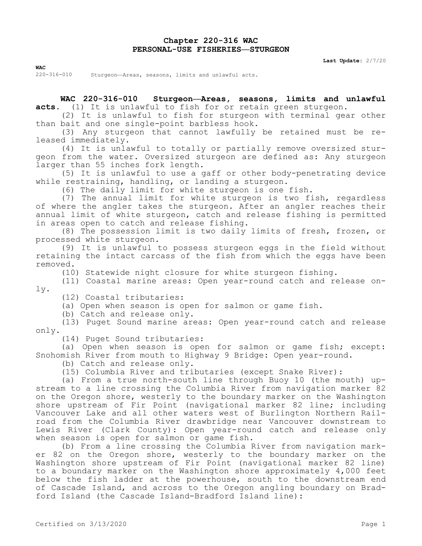## **Chapter 220-316 WAC PERSONAL-USE FISHERIES—STURGEON**

**Last Update:** 2/7/20

**WAC**

220-316-010 Sturgeon—Areas, seasons, limits and unlawful acts.

**WAC 220-316-010 Sturgeon—Areas, seasons, limits and unlawful acts.** (1) It is unlawful to fish for or retain green sturgeon.

(2) It is unlawful to fish for sturgeon with terminal gear other than bait and one single-point barbless hook.

(3) Any sturgeon that cannot lawfully be retained must be released immediately.

(4) It is unlawful to totally or partially remove oversized sturgeon from the water. Oversized sturgeon are defined as: Any sturgeon larger than 55 inches fork length.

(5) It is unlawful to use a gaff or other body-penetrating device while restraining, handling, or landing a sturgeon.

(6) The daily limit for white sturgeon is one fish.

(7) The annual limit for white sturgeon is two fish, regardless of where the angler takes the sturgeon. After an angler reaches their annual limit of white sturgeon, catch and release fishing is permitted in areas open to catch and release fishing.

(8) The possession limit is two daily limits of fresh, frozen, or processed white sturgeon.

(9) It is unlawful to possess sturgeon eggs in the field without retaining the intact carcass of the fish from which the eggs have been removed.

(10) Statewide night closure for white sturgeon fishing.

(11) Coastal marine areas: Open year-round catch and release only.

(12) Coastal tributaries:

(a) Open when season is open for salmon or game fish.

(b) Catch and release only.

(13) Puget Sound marine areas: Open year-round catch and release only.

(14) Puget Sound tributaries:

(a) Open when season is open for salmon or game fish; except: Snohomish River from mouth to Highway 9 Bridge: Open year-round.

(b) Catch and release only.

(15) Columbia River and tributaries (except Snake River):

(a) From a true north-south line through Buoy 10 (the mouth) upstream to a line crossing the Columbia River from navigation marker 82 on the Oregon shore, westerly to the boundary marker on the Washington shore upstream of Fir Point (navigational marker 82 line; including Vancouver Lake and all other waters west of Burlington Northern Railroad from the Columbia River drawbridge near Vancouver downstream to Lewis River (Clark County): Open year-round catch and release only when season is open for salmon or game fish.

(b) From a line crossing the Columbia River from navigation marker 82 on the Oregon shore, westerly to the boundary marker on the Washington shore upstream of Fir Point (navigational marker 82 line) to a boundary marker on the Washington shore approximately 4,000 feet below the fish ladder at the powerhouse, south to the downstream end of Cascade Island, and across to the Oregon angling boundary on Bradford Island (the Cascade Island-Bradford Island line):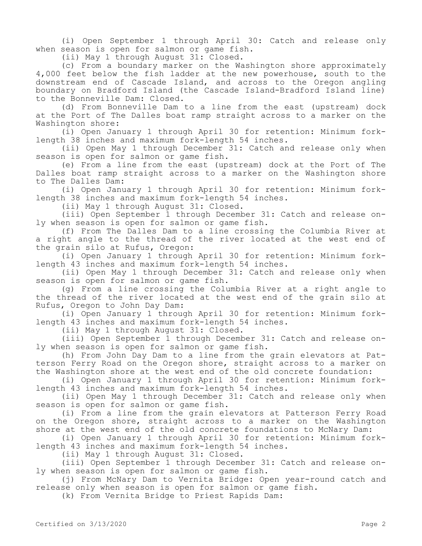(i) Open September 1 through April 30: Catch and release only when season is open for salmon or game fish.

(ii) May 1 through August 31: Closed.

(c) From a boundary marker on the Washington shore approximately 4,000 feet below the fish ladder at the new powerhouse, south to the downstream end of Cascade Island, and across to the Oregon angling boundary on Bradford Island (the Cascade Island-Bradford Island line) to the Bonneville Dam: Closed.

(d) From Bonneville Dam to a line from the east (upstream) dock at the Port of The Dalles boat ramp straight across to a marker on the Washington shore:

(i) Open January 1 through April 30 for retention: Minimum forklength 38 inches and maximum fork-length 54 inches.

(ii) Open May 1 through December 31: Catch and release only when season is open for salmon or game fish.

(e) From a line from the east (upstream) dock at the Port of The Dalles boat ramp straight across to a marker on the Washington shore to The Dalles Dam:

(i) Open January 1 through April 30 for retention: Minimum forklength 38 inches and maximum fork-length 54 inches.

(ii) May 1 through August 31: Closed.

(iii) Open September 1 through December 31: Catch and release only when season is open for salmon or game fish.

(f) From The Dalles Dam to a line crossing the Columbia River at a right angle to the thread of the river located at the west end of the grain silo at Rufus, Oregon:

(i) Open January 1 through April 30 for retention: Minimum forklength 43 inches and maximum fork-length 54 inches.

(ii) Open May 1 through December 31: Catch and release only when season is open for salmon or game fish.

(g) From a line crossing the Columbia River at a right angle to the thread of the river located at the west end of the grain silo at Rufus, Oregon to John Day Dam:

(i) Open January 1 through April 30 for retention: Minimum forklength 43 inches and maximum fork-length 54 inches.

(ii) May 1 through August 31: Closed.

(iii) Open September 1 through December 31: Catch and release only when season is open for salmon or game fish.

(h) From John Day Dam to a line from the grain elevators at Patterson Ferry Road on the Oregon shore, straight across to a marker on the Washington shore at the west end of the old concrete foundation:

(i) Open January 1 through April 30 for retention: Minimum forklength 43 inches and maximum fork-length 54 inches.

(ii) Open May 1 through December 31: Catch and release only when season is open for salmon or game fish.

(i) From a line from the grain elevators at Patterson Ferry Road on the Oregon shore, straight across to a marker on the Washington shore at the west end of the old concrete foundations to McNary Dam:

(i) Open January 1 through April 30 for retention: Minimum forklength 43 inches and maximum fork-length 54 inches.

(ii) May 1 through August 31: Closed.

(iii) Open September 1 through December 31: Catch and release only when season is open for salmon or game fish.

(j) From McNary Dam to Vernita Bridge: Open year-round catch and release only when season is open for salmon or game fish.

(k) From Vernita Bridge to Priest Rapids Dam: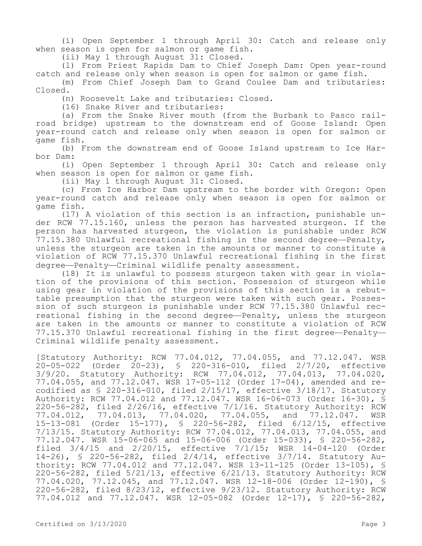(i) Open September 1 through April 30: Catch and release only when season is open for salmon or game fish.

(ii) May 1 through August 31: Closed.

(l) From Priest Rapids Dam to Chief Joseph Dam: Open year-round catch and release only when season is open for salmon or game fish.

(m) From Chief Joseph Dam to Grand Coulee Dam and tributaries: Closed.

(n) Roosevelt Lake and tributaries: Closed.

(16) Snake River and tributaries:

(a) From the Snake River mouth (from the Burbank to Pasco railroad bridge) upstream to the downstream end of Goose Island: Open year-round catch and release only when season is open for salmon or game fish.

(b) From the downstream end of Goose Island upstream to Ice Harbor Dam:

(i) Open September 1 through April 30: Catch and release only when season is open for salmon or game fish.

(ii) May 1 through August 31: Closed.

(c) From Ice Harbor Dam upstream to the border with Oregon: Open year-round catch and release only when season is open for salmon or game fish.

(17) A violation of this section is an infraction, punishable under RCW 77.15.160, unless the person has harvested sturgeon. If the person has harvested sturgeon, the violation is punishable under RCW 77.15.380 Unlawful recreational fishing in the second degree—Penalty, unless the sturgeon are taken in the amounts or manner to constitute a violation of RCW 77.15.370 Unlawful recreational fishing in the first degree—Penalty—Criminal wildlife penalty assessment.

(18) It is unlawful to possess sturgeon taken with gear in violation of the provisions of this section. Possession of sturgeon while using gear in violation of the provisions of this section is a rebuttable presumption that the sturgeon were taken with such gear. Possession of such sturgeon is punishable under RCW 77.15.380 Unlawful recreational fishing in the second degree—Penalty, unless the sturgeon are taken in the amounts or manner to constitute a violation of RCW 77.15.370 Unlawful recreational fishing in the first degree—Penalty— Criminal wildlife penalty assessment.

[Statutory Authority: RCW 77.04.012, 77.04.055, and 77.12.047. WSR 20-05-022 (Order 20-23), § 220-316-010, filed 2/7/20, effective 3/9/20. Statutory Authority: RCW 77.04.012, 77.04.013, 77.04.020, 77.04.055, and 77.12.047. WSR 17-05-112 (Order 17-04), amended and recodified as § 220-316-010, filed 2/15/17, effective 3/18/17. Statutory Authority: RCW 77.04.012 and 77.12.047. WSR 16-06-073 (Order 16-30), § 220-56-282, filed 2/26/16, effective 7/1/16. Statutory Authority: RCW 77.04.012, 77.04.013, 77.04.020, 77.04.055, and 77.12.047. WSR 15-13-081 (Order 15-177), § 220-56-282, filed 6/12/15, effective 7/13/15. Statutory Authority: RCW 77.04.012, 77.04.013, 77.04.055, and 77.12.047. WSR 15-06-065 and 15-06-006 (Order 15-033), § 220-56-282, filed 3/4/15 and 2/20/15, effective 7/1/15; WSR 14-04-120 (Order 14-26), § 220-56-282, filed 2/4/14, effective 3/7/14. Statutory Authority: RCW 77.04.012 and 77.12.047. WSR 13-11-125 (Order 13-105), § 220-56-282, filed 5/21/13, effective 6/21/13. Statutory Authority: RCW 77.04.020, 77.12.045, and 77.12.047. WSR 12-18-006 (Order 12-190), § 220-56-282, filed 8/23/12, effective 9/23/12. Statutory Authority: RCW 77.04.012 and 77.12.047. WSR 12-05-082 (Order 12-17), § 220-56-282,